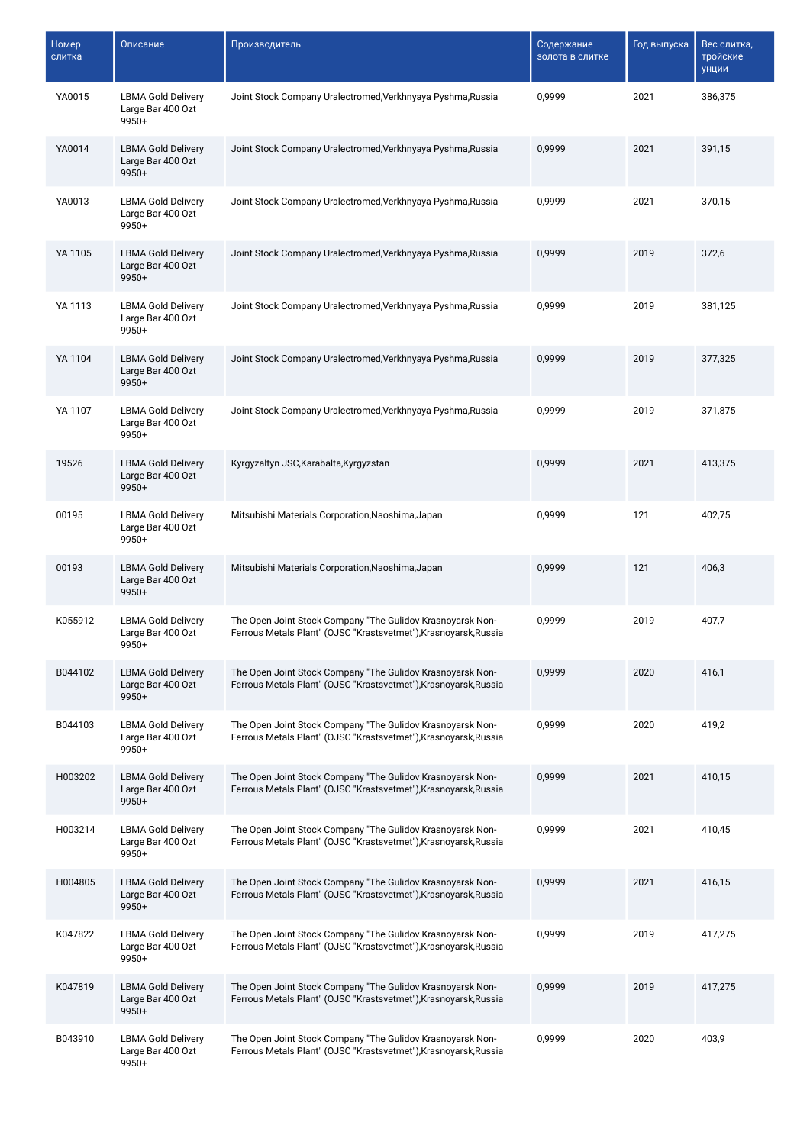| Номер<br>слитка | Описание                                                  | Производитель                                                                                                                  | Содержание<br>золота в слитке | Год выпуска | Вес слитка,<br>тройские<br>унции |
|-----------------|-----------------------------------------------------------|--------------------------------------------------------------------------------------------------------------------------------|-------------------------------|-------------|----------------------------------|
| YA0015          | <b>LBMA Gold Delivery</b><br>Large Bar 400 Ozt<br>9950+   | Joint Stock Company Uralectromed, Verkhnyaya Pyshma, Russia                                                                    | 0,9999                        | 2021        | 386,375                          |
| YA0014          | <b>LBMA Gold Delivery</b><br>Large Bar 400 Ozt<br>9950+   | Joint Stock Company Uralectromed, Verkhnyaya Pyshma, Russia                                                                    | 0,9999                        | 2021        | 391,15                           |
| YA0013          | <b>LBMA Gold Delivery</b><br>Large Bar 400 Ozt<br>9950+   | Joint Stock Company Uralectromed, Verkhnyaya Pyshma, Russia                                                                    | 0,9999                        | 2021        | 370,15                           |
| YA 1105         | <b>LBMA Gold Delivery</b><br>Large Bar 400 Ozt<br>9950+   | Joint Stock Company Uralectromed, Verkhnyaya Pyshma, Russia                                                                    | 0,9999                        | 2019        | 372,6                            |
| YA 1113         | <b>LBMA Gold Delivery</b><br>Large Bar 400 Ozt<br>9950+   | Joint Stock Company Uralectromed, Verkhnyaya Pyshma, Russia                                                                    | 0,9999                        | 2019        | 381,125                          |
| YA 1104         | <b>LBMA Gold Delivery</b><br>Large Bar 400 Ozt<br>9950+   | Joint Stock Company Uralectromed, Verkhnyaya Pyshma, Russia                                                                    | 0,9999                        | 2019        | 377,325                          |
| YA 1107         | <b>LBMA Gold Delivery</b><br>Large Bar 400 Ozt<br>9950+   | Joint Stock Company Uralectromed, Verkhnyaya Pyshma, Russia                                                                    | 0,9999                        | 2019        | 371,875                          |
| 19526           | <b>LBMA Gold Delivery</b><br>Large Bar 400 Ozt<br>$9950+$ | Kyrgyzaltyn JSC, Karabalta, Kyrgyzstan                                                                                         | 0,9999                        | 2021        | 413,375                          |
| 00195           | <b>LBMA Gold Delivery</b><br>Large Bar 400 Ozt<br>9950+   | Mitsubishi Materials Corporation, Naoshima, Japan                                                                              | 0,9999                        | 121         | 402,75                           |
| 00193           | <b>LBMA Gold Delivery</b><br>Large Bar 400 Ozt<br>$9950+$ | Mitsubishi Materials Corporation, Naoshima, Japan                                                                              | 0,9999                        | 121         | 406,3                            |
| K055912         | <b>LBMA Gold Delivery</b><br>Large Bar 400 Ozt<br>$9950+$ | The Open Joint Stock Company "The Gulidov Krasnoyarsk Non-<br>Ferrous Metals Plant" (OJSC "Krastsvetmet"), Krasnoyarsk, Russia | 0,9999                        | 2019        | 407,7                            |
| B044102         | <b>LBMA Gold Delivery</b><br>Large Bar 400 Ozt<br>9950+   | The Open Joint Stock Company "The Gulidov Krasnoyarsk Non-<br>Ferrous Metals Plant" (OJSC "Krastsvetmet"), Krasnoyarsk, Russia | 0,9999                        | 2020        | 416,1                            |
| B044103         | <b>LBMA Gold Delivery</b><br>Large Bar 400 Ozt<br>9950+   | The Open Joint Stock Company "The Gulidov Krasnoyarsk Non-<br>Ferrous Metals Plant" (OJSC "Krastsvetmet"), Krasnoyarsk, Russia | 0,9999                        | 2020        | 419,2                            |
| H003202         | <b>LBMA Gold Delivery</b><br>Large Bar 400 Ozt<br>9950+   | The Open Joint Stock Company "The Gulidov Krasnoyarsk Non-<br>Ferrous Metals Plant" (OJSC "Krastsvetmet"), Krasnoyarsk, Russia | 0,9999                        | 2021        | 410,15                           |
| H003214         | <b>LBMA Gold Delivery</b><br>Large Bar 400 Ozt<br>9950+   | The Open Joint Stock Company "The Gulidov Krasnoyarsk Non-<br>Ferrous Metals Plant" (OJSC "Krastsvetmet"), Krasnoyarsk, Russia | 0,9999                        | 2021        | 410,45                           |
| H004805         | <b>LBMA Gold Delivery</b><br>Large Bar 400 Ozt<br>9950+   | The Open Joint Stock Company "The Gulidov Krasnoyarsk Non-<br>Ferrous Metals Plant" (OJSC "Krastsvetmet"), Krasnoyarsk, Russia | 0,9999                        | 2021        | 416,15                           |
| K047822         | <b>LBMA Gold Delivery</b><br>Large Bar 400 Ozt<br>9950+   | The Open Joint Stock Company "The Gulidov Krasnoyarsk Non-<br>Ferrous Metals Plant" (OJSC "Krastsvetmet"), Krasnoyarsk, Russia | 0,9999                        | 2019        | 417,275                          |
| K047819         | <b>LBMA Gold Delivery</b><br>Large Bar 400 Ozt<br>9950+   | The Open Joint Stock Company "The Gulidov Krasnoyarsk Non-<br>Ferrous Metals Plant" (OJSC "Krastsvetmet"), Krasnoyarsk, Russia | 0,9999                        | 2019        | 417,275                          |
| B043910         | <b>LBMA Gold Delivery</b><br>Large Bar 400 Ozt<br>9950+   | The Open Joint Stock Company "The Gulidov Krasnoyarsk Non-<br>Ferrous Metals Plant" (OJSC "Krastsvetmet"), Krasnoyarsk, Russia | 0,9999                        | 2020        | 403,9                            |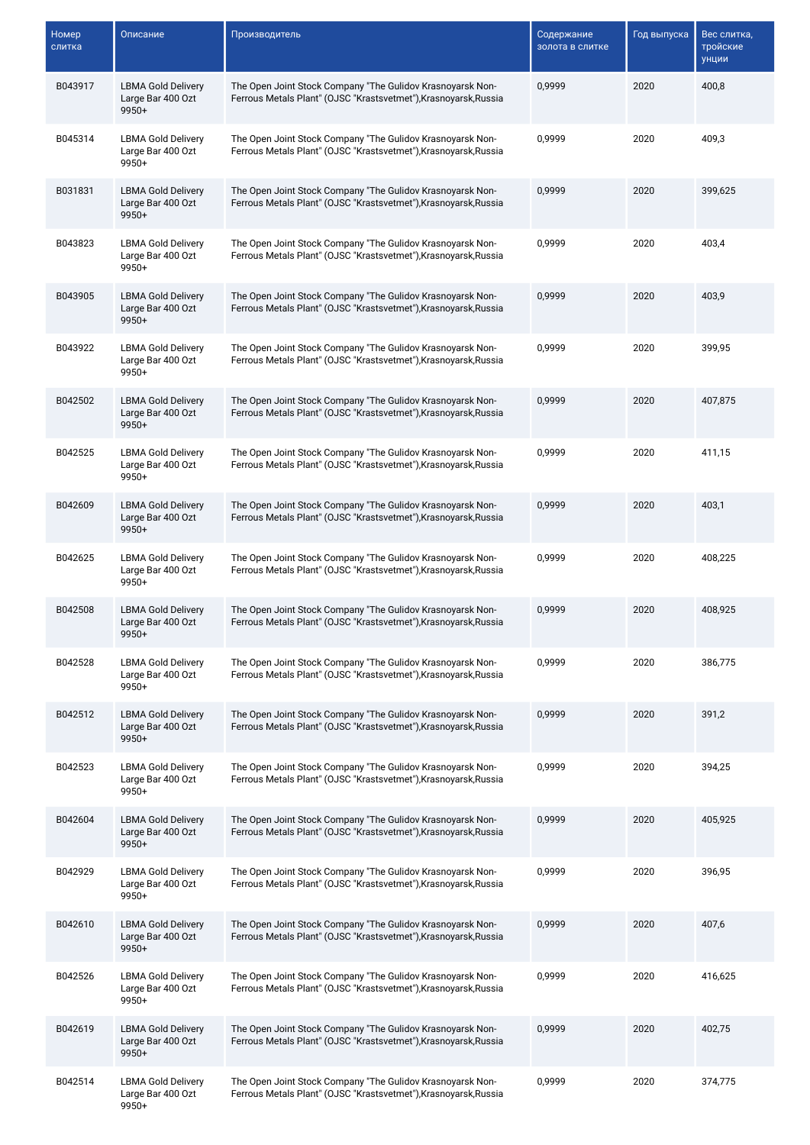| Номер<br>слитка | Описание                                                  | Производитель                                                                                                                  | Содержание<br>золота в слитке | Год выпуска | Вес слитка,<br>тройские<br>унции |
|-----------------|-----------------------------------------------------------|--------------------------------------------------------------------------------------------------------------------------------|-------------------------------|-------------|----------------------------------|
| B043917         | <b>LBMA Gold Delivery</b><br>Large Bar 400 Ozt<br>$9950+$ | The Open Joint Stock Company "The Gulidov Krasnoyarsk Non-<br>Ferrous Metals Plant" (OJSC "Krastsvetmet"), Krasnoyarsk, Russia | 0,9999                        | 2020        | 400,8                            |
| B045314         | <b>LBMA Gold Delivery</b><br>Large Bar 400 Ozt<br>9950+   | The Open Joint Stock Company "The Gulidov Krasnoyarsk Non-<br>Ferrous Metals Plant" (OJSC "Krastsvetmet"), Krasnoyarsk, Russia | 0,9999                        | 2020        | 409,3                            |
| B031831         | <b>LBMA Gold Delivery</b><br>Large Bar 400 Ozt<br>$9950+$ | The Open Joint Stock Company "The Gulidov Krasnoyarsk Non-<br>Ferrous Metals Plant" (OJSC "Krastsvetmet"), Krasnoyarsk, Russia | 0,9999                        | 2020        | 399,625                          |
| B043823         | <b>LBMA Gold Delivery</b><br>Large Bar 400 Ozt<br>9950+   | The Open Joint Stock Company "The Gulidov Krasnoyarsk Non-<br>Ferrous Metals Plant" (OJSC "Krastsvetmet"), Krasnoyarsk, Russia | 0,9999                        | 2020        | 403,4                            |
| B043905         | <b>LBMA Gold Delivery</b><br>Large Bar 400 Ozt<br>$9950+$ | The Open Joint Stock Company "The Gulidov Krasnoyarsk Non-<br>Ferrous Metals Plant" (OJSC "Krastsvetmet"), Krasnoyarsk, Russia | 0,9999                        | 2020        | 403,9                            |
| B043922         | <b>LBMA Gold Delivery</b><br>Large Bar 400 Ozt<br>$9950+$ | The Open Joint Stock Company "The Gulidov Krasnoyarsk Non-<br>Ferrous Metals Plant" (OJSC "Krastsvetmet"), Krasnoyarsk, Russia | 0,9999                        | 2020        | 399,95                           |
| B042502         | <b>LBMA Gold Delivery</b><br>Large Bar 400 Ozt<br>$9950+$ | The Open Joint Stock Company "The Gulidov Krasnoyarsk Non-<br>Ferrous Metals Plant" (OJSC "Krastsvetmet"), Krasnoyarsk, Russia | 0,9999                        | 2020        | 407,875                          |
| B042525         | <b>LBMA Gold Delivery</b><br>Large Bar 400 Ozt<br>$9950+$ | The Open Joint Stock Company "The Gulidov Krasnoyarsk Non-<br>Ferrous Metals Plant" (OJSC "Krastsvetmet"), Krasnoyarsk, Russia | 0,9999                        | 2020        | 411,15                           |
| B042609         | <b>LBMA Gold Delivery</b><br>Large Bar 400 Ozt<br>9950+   | The Open Joint Stock Company "The Gulidov Krasnoyarsk Non-<br>Ferrous Metals Plant" (OJSC "Krastsvetmet"), Krasnoyarsk, Russia | 0,9999                        | 2020        | 403,1                            |
| B042625         | <b>LBMA Gold Delivery</b><br>Large Bar 400 Ozt<br>$9950+$ | The Open Joint Stock Company "The Gulidov Krasnoyarsk Non-<br>Ferrous Metals Plant" (OJSC "Krastsvetmet"), Krasnoyarsk, Russia | 0,9999                        | 2020        | 408,225                          |
| B042508         | <b>LBMA Gold Delivery</b><br>Large Bar 400 Ozt<br>$9950+$ | The Open Joint Stock Company "The Gulidov Krasnoyarsk Non-<br>Ferrous Metals Plant" (OJSC "Krastsvetmet"), Krasnoyarsk, Russia | 0,9999                        | 2020        | 408,925                          |
| B042528         | <b>LBMA Gold Delivery</b><br>Large Bar 400 Ozt<br>9950+   | The Open Joint Stock Company "The Gulidov Krasnoyarsk Non-<br>Ferrous Metals Plant" (OJSC "Krastsvetmet"), Krasnoyarsk, Russia | 0,9999                        | 2020        | 386,775                          |
| B042512         | <b>LBMA Gold Delivery</b><br>Large Bar 400 Ozt<br>$9950+$ | The Open Joint Stock Company "The Gulidov Krasnoyarsk Non-<br>Ferrous Metals Plant" (OJSC "Krastsvetmet"), Krasnoyarsk, Russia | 0,9999                        | 2020        | 391,2                            |
| B042523         | <b>LBMA Gold Delivery</b><br>Large Bar 400 Ozt<br>9950+   | The Open Joint Stock Company "The Gulidov Krasnoyarsk Non-<br>Ferrous Metals Plant" (OJSC "Krastsvetmet"), Krasnoyarsk, Russia | 0,9999                        | 2020        | 394,25                           |
| B042604         | <b>LBMA Gold Delivery</b><br>Large Bar 400 Ozt<br>$9950+$ | The Open Joint Stock Company "The Gulidov Krasnoyarsk Non-<br>Ferrous Metals Plant" (OJSC "Krastsvetmet"), Krasnoyarsk, Russia | 0,9999                        | 2020        | 405,925                          |
| B042929         | <b>LBMA Gold Delivery</b><br>Large Bar 400 Ozt<br>9950+   | The Open Joint Stock Company "The Gulidov Krasnoyarsk Non-<br>Ferrous Metals Plant" (OJSC "Krastsvetmet"), Krasnoyarsk, Russia | 0,9999                        | 2020        | 396,95                           |
| B042610         | <b>LBMA Gold Delivery</b><br>Large Bar 400 Ozt<br>9950+   | The Open Joint Stock Company "The Gulidov Krasnoyarsk Non-<br>Ferrous Metals Plant" (OJSC "Krastsvetmet"), Krasnoyarsk, Russia | 0,9999                        | 2020        | 407,6                            |
| B042526         | <b>LBMA Gold Delivery</b><br>Large Bar 400 Ozt<br>$9950+$ | The Open Joint Stock Company "The Gulidov Krasnoyarsk Non-<br>Ferrous Metals Plant" (OJSC "Krastsvetmet"), Krasnoyarsk, Russia | 0,9999                        | 2020        | 416,625                          |
| B042619         | <b>LBMA Gold Delivery</b><br>Large Bar 400 Ozt<br>9950+   | The Open Joint Stock Company "The Gulidov Krasnoyarsk Non-<br>Ferrous Metals Plant" (OJSC "Krastsvetmet"), Krasnoyarsk, Russia | 0,9999                        | 2020        | 402,75                           |
| B042514         | <b>LBMA Gold Delivery</b><br>Large Bar 400 Ozt<br>9950+   | The Open Joint Stock Company "The Gulidov Krasnoyarsk Non-<br>Ferrous Metals Plant" (OJSC "Krastsvetmet"), Krasnoyarsk, Russia | 0,9999                        | 2020        | 374,775                          |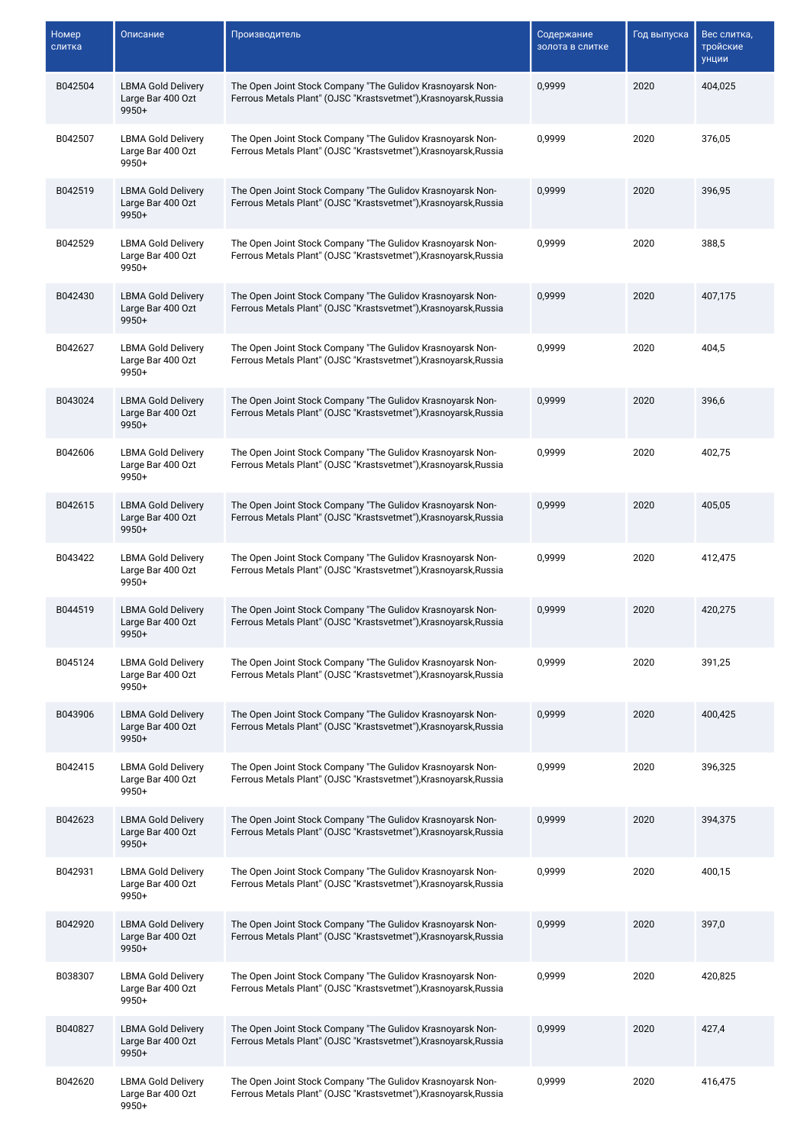| Номер<br>слитка | Описание                                                  | Производитель                                                                                                                  | Содержание<br>золота в слитке | Год выпуска | Вес слитка,<br>тройские<br>унции |
|-----------------|-----------------------------------------------------------|--------------------------------------------------------------------------------------------------------------------------------|-------------------------------|-------------|----------------------------------|
| B042504         | <b>LBMA Gold Delivery</b><br>Large Bar 400 Ozt<br>$9950+$ | The Open Joint Stock Company "The Gulidov Krasnoyarsk Non-<br>Ferrous Metals Plant" (OJSC "Krastsvetmet"), Krasnoyarsk, Russia | 0,9999                        | 2020        | 404,025                          |
| B042507         | <b>LBMA Gold Delivery</b><br>Large Bar 400 Ozt<br>9950+   | The Open Joint Stock Company "The Gulidov Krasnoyarsk Non-<br>Ferrous Metals Plant" (OJSC "Krastsvetmet"), Krasnoyarsk, Russia | 0,9999                        | 2020        | 376,05                           |
| B042519         | <b>LBMA Gold Delivery</b><br>Large Bar 400 Ozt<br>$9950+$ | The Open Joint Stock Company "The Gulidov Krasnoyarsk Non-<br>Ferrous Metals Plant" (OJSC "Krastsvetmet"), Krasnoyarsk, Russia | 0,9999                        | 2020        | 396,95                           |
| B042529         | <b>LBMA Gold Delivery</b><br>Large Bar 400 Ozt<br>9950+   | The Open Joint Stock Company "The Gulidov Krasnoyarsk Non-<br>Ferrous Metals Plant" (OJSC "Krastsvetmet"), Krasnoyarsk, Russia | 0,9999                        | 2020        | 388,5                            |
| B042430         | <b>LBMA Gold Delivery</b><br>Large Bar 400 Ozt<br>$9950+$ | The Open Joint Stock Company "The Gulidov Krasnoyarsk Non-<br>Ferrous Metals Plant" (OJSC "Krastsvetmet"), Krasnoyarsk, Russia | 0,9999                        | 2020        | 407,175                          |
| B042627         | <b>LBMA Gold Delivery</b><br>Large Bar 400 Ozt<br>$9950+$ | The Open Joint Stock Company "The Gulidov Krasnoyarsk Non-<br>Ferrous Metals Plant" (OJSC "Krastsvetmet"), Krasnoyarsk, Russia | 0,9999                        | 2020        | 404,5                            |
| B043024         | <b>LBMA Gold Delivery</b><br>Large Bar 400 Ozt<br>$9950+$ | The Open Joint Stock Company "The Gulidov Krasnoyarsk Non-<br>Ferrous Metals Plant" (OJSC "Krastsvetmet"), Krasnoyarsk, Russia | 0,9999                        | 2020        | 396,6                            |
| B042606         | <b>LBMA Gold Delivery</b><br>Large Bar 400 Ozt<br>$9950+$ | The Open Joint Stock Company "The Gulidov Krasnoyarsk Non-<br>Ferrous Metals Plant" (OJSC "Krastsvetmet"), Krasnoyarsk, Russia | 0,9999                        | 2020        | 402,75                           |
| B042615         | <b>LBMA Gold Delivery</b><br>Large Bar 400 Ozt<br>9950+   | The Open Joint Stock Company "The Gulidov Krasnoyarsk Non-<br>Ferrous Metals Plant" (OJSC "Krastsvetmet"), Krasnoyarsk, Russia | 0,9999                        | 2020        | 405,05                           |
| B043422         | <b>LBMA Gold Delivery</b><br>Large Bar 400 Ozt<br>$9950+$ | The Open Joint Stock Company "The Gulidov Krasnoyarsk Non-<br>Ferrous Metals Plant" (OJSC "Krastsvetmet"), Krasnoyarsk, Russia | 0,9999                        | 2020        | 412,475                          |
| B044519         | <b>LBMA Gold Delivery</b><br>Large Bar 400 Ozt<br>$9950+$ | The Open Joint Stock Company "The Gulidov Krasnoyarsk Non-<br>Ferrous Metals Plant" (OJSC "Krastsvetmet"), Krasnoyarsk, Russia | 0,9999                        | 2020        | 420,275                          |
| B045124         | <b>LBMA Gold Delivery</b><br>Large Bar 400 Ozt<br>9950+   | The Open Joint Stock Company "The Gulidov Krasnoyarsk Non-<br>Ferrous Metals Plant" (OJSC "Krastsvetmet"), Krasnoyarsk, Russia | 0,9999                        | 2020        | 391,25                           |
| B043906         | <b>LBMA Gold Delivery</b><br>Large Bar 400 Ozt<br>$9950+$ | The Open Joint Stock Company "The Gulidov Krasnoyarsk Non-<br>Ferrous Metals Plant" (OJSC "Krastsvetmet"), Krasnoyarsk, Russia | 0,9999                        | 2020        | 400,425                          |
| B042415         | <b>LBMA Gold Delivery</b><br>Large Bar 400 Ozt<br>9950+   | The Open Joint Stock Company "The Gulidov Krasnoyarsk Non-<br>Ferrous Metals Plant" (OJSC "Krastsvetmet"), Krasnoyarsk, Russia | 0,9999                        | 2020        | 396,325                          |
| B042623         | <b>LBMA Gold Delivery</b><br>Large Bar 400 Ozt<br>$9950+$ | The Open Joint Stock Company "The Gulidov Krasnoyarsk Non-<br>Ferrous Metals Plant" (OJSC "Krastsvetmet"), Krasnoyarsk, Russia | 0,9999                        | 2020        | 394,375                          |
| B042931         | <b>LBMA Gold Delivery</b><br>Large Bar 400 Ozt<br>9950+   | The Open Joint Stock Company "The Gulidov Krasnoyarsk Non-<br>Ferrous Metals Plant" (OJSC "Krastsvetmet"), Krasnoyarsk, Russia | 0,9999                        | 2020        | 400,15                           |
| B042920         | <b>LBMA Gold Delivery</b><br>Large Bar 400 Ozt<br>9950+   | The Open Joint Stock Company "The Gulidov Krasnoyarsk Non-<br>Ferrous Metals Plant" (OJSC "Krastsvetmet"), Krasnoyarsk, Russia | 0,9999                        | 2020        | 397,0                            |
| B038307         | <b>LBMA Gold Delivery</b><br>Large Bar 400 Ozt<br>$9950+$ | The Open Joint Stock Company "The Gulidov Krasnoyarsk Non-<br>Ferrous Metals Plant" (OJSC "Krastsvetmet"), Krasnoyarsk, Russia | 0,9999                        | 2020        | 420,825                          |
| B040827         | <b>LBMA Gold Delivery</b><br>Large Bar 400 Ozt<br>9950+   | The Open Joint Stock Company "The Gulidov Krasnoyarsk Non-<br>Ferrous Metals Plant" (OJSC "Krastsvetmet"), Krasnoyarsk, Russia | 0,9999                        | 2020        | 427,4                            |
| B042620         | <b>LBMA Gold Delivery</b><br>Large Bar 400 Ozt<br>9950+   | The Open Joint Stock Company "The Gulidov Krasnoyarsk Non-<br>Ferrous Metals Plant" (OJSC "Krastsvetmet"), Krasnoyarsk, Russia | 0,9999                        | 2020        | 416,475                          |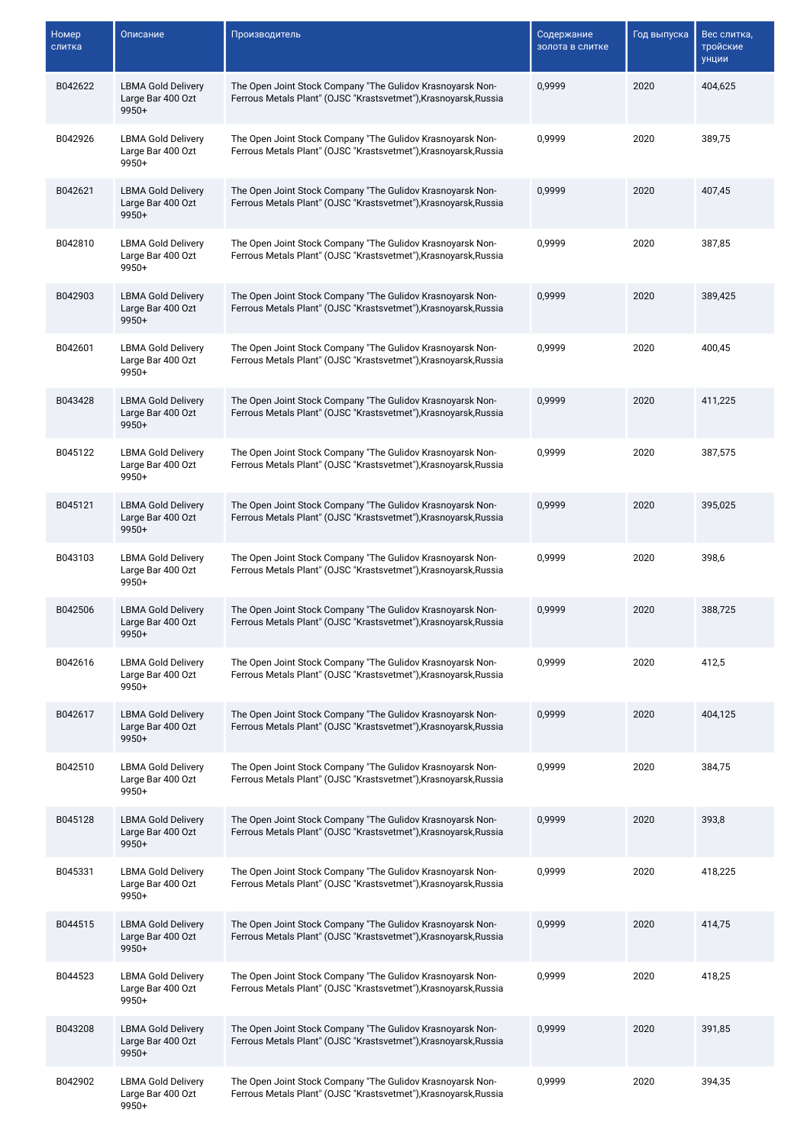| Номер<br>слитка | Описание                                                  | Производитель                                                                                                                  | Содержание<br>золота в слитке | Год выпуска | Вес слитка,<br>тройские<br>унции |
|-----------------|-----------------------------------------------------------|--------------------------------------------------------------------------------------------------------------------------------|-------------------------------|-------------|----------------------------------|
| B042622         | <b>LBMA Gold Delivery</b><br>Large Bar 400 Ozt<br>$9950+$ | The Open Joint Stock Company "The Gulidov Krasnoyarsk Non-<br>Ferrous Metals Plant" (OJSC "Krastsvetmet"), Krasnoyarsk, Russia | 0,9999                        | 2020        | 404,625                          |
| B042926         | <b>LBMA Gold Delivery</b><br>Large Bar 400 Ozt<br>9950+   | The Open Joint Stock Company "The Gulidov Krasnoyarsk Non-<br>Ferrous Metals Plant" (OJSC "Krastsvetmet"), Krasnoyarsk, Russia | 0,9999                        | 2020        | 389,75                           |
| B042621         | <b>LBMA Gold Delivery</b><br>Large Bar 400 Ozt<br>$9950+$ | The Open Joint Stock Company "The Gulidov Krasnoyarsk Non-<br>Ferrous Metals Plant" (OJSC "Krastsvetmet"), Krasnoyarsk, Russia | 0,9999                        | 2020        | 407,45                           |
| B042810         | <b>LBMA Gold Delivery</b><br>Large Bar 400 Ozt<br>9950+   | The Open Joint Stock Company "The Gulidov Krasnoyarsk Non-<br>Ferrous Metals Plant" (OJSC "Krastsvetmet"), Krasnoyarsk, Russia | 0,9999                        | 2020        | 387,85                           |
| B042903         | <b>LBMA Gold Delivery</b><br>Large Bar 400 Ozt<br>$9950+$ | The Open Joint Stock Company "The Gulidov Krasnoyarsk Non-<br>Ferrous Metals Plant" (OJSC "Krastsvetmet"), Krasnoyarsk, Russia | 0,9999                        | 2020        | 389,425                          |
| B042601         | <b>LBMA Gold Delivery</b><br>Large Bar 400 Ozt<br>$9950+$ | The Open Joint Stock Company "The Gulidov Krasnoyarsk Non-<br>Ferrous Metals Plant" (OJSC "Krastsvetmet"), Krasnoyarsk, Russia | 0,9999                        | 2020        | 400,45                           |
| B043428         | <b>LBMA Gold Delivery</b><br>Large Bar 400 Ozt<br>$9950+$ | The Open Joint Stock Company "The Gulidov Krasnoyarsk Non-<br>Ferrous Metals Plant" (OJSC "Krastsvetmet"), Krasnoyarsk, Russia | 0,9999                        | 2020        | 411,225                          |
| B045122         | <b>LBMA Gold Delivery</b><br>Large Bar 400 Ozt<br>$9950+$ | The Open Joint Stock Company "The Gulidov Krasnoyarsk Non-<br>Ferrous Metals Plant" (OJSC "Krastsvetmet"), Krasnoyarsk, Russia | 0,9999                        | 2020        | 387,575                          |
| B045121         | <b>LBMA Gold Delivery</b><br>Large Bar 400 Ozt<br>9950+   | The Open Joint Stock Company "The Gulidov Krasnoyarsk Non-<br>Ferrous Metals Plant" (OJSC "Krastsvetmet"), Krasnoyarsk, Russia | 0,9999                        | 2020        | 395,025                          |
| B043103         | <b>LBMA Gold Delivery</b><br>Large Bar 400 Ozt<br>$9950+$ | The Open Joint Stock Company "The Gulidov Krasnoyarsk Non-<br>Ferrous Metals Plant" (OJSC "Krastsvetmet"), Krasnoyarsk, Russia | 0,9999                        | 2020        | 398,6                            |
| B042506         | <b>LBMA Gold Delivery</b><br>Large Bar 400 Ozt<br>$9950+$ | The Open Joint Stock Company "The Gulidov Krasnoyarsk Non-<br>Ferrous Metals Plant" (OJSC "Krastsvetmet"), Krasnoyarsk, Russia | 0,9999                        | 2020        | 388,725                          |
| B042616         | <b>LBMA Gold Delivery</b><br>Large Bar 400 Ozt<br>9950+   | The Open Joint Stock Company "The Gulidov Krasnoyarsk Non-<br>Ferrous Metals Plant" (OJSC "Krastsvetmet"), Krasnoyarsk, Russia | 0,9999                        | 2020        | 412,5                            |
| B042617         | <b>LBMA Gold Delivery</b><br>Large Bar 400 Ozt<br>$9950+$ | The Open Joint Stock Company "The Gulidov Krasnoyarsk Non-<br>Ferrous Metals Plant" (OJSC "Krastsvetmet"), Krasnoyarsk, Russia | 0,9999                        | 2020        | 404.125                          |
| B042510         | <b>LBMA Gold Delivery</b><br>Large Bar 400 Ozt<br>9950+   | The Open Joint Stock Company "The Gulidov Krasnoyarsk Non-<br>Ferrous Metals Plant" (OJSC "Krastsvetmet"), Krasnoyarsk, Russia | 0,9999                        | 2020        | 384,75                           |
| B045128         | <b>LBMA Gold Delivery</b><br>Large Bar 400 Ozt<br>$9950+$ | The Open Joint Stock Company "The Gulidov Krasnoyarsk Non-<br>Ferrous Metals Plant" (OJSC "Krastsvetmet"), Krasnoyarsk, Russia | 0,9999                        | 2020        | 393,8                            |
| B045331         | <b>LBMA Gold Delivery</b><br>Large Bar 400 Ozt<br>9950+   | The Open Joint Stock Company "The Gulidov Krasnoyarsk Non-<br>Ferrous Metals Plant" (OJSC "Krastsvetmet"), Krasnoyarsk, Russia | 0,9999                        | 2020        | 418,225                          |
| B044515         | <b>LBMA Gold Delivery</b><br>Large Bar 400 Ozt<br>9950+   | The Open Joint Stock Company "The Gulidov Krasnoyarsk Non-<br>Ferrous Metals Plant" (OJSC "Krastsvetmet"), Krasnoyarsk, Russia | 0,9999                        | 2020        | 414,75                           |
| B044523         | <b>LBMA Gold Delivery</b><br>Large Bar 400 Ozt<br>$9950+$ | The Open Joint Stock Company "The Gulidov Krasnoyarsk Non-<br>Ferrous Metals Plant" (OJSC "Krastsvetmet"), Krasnoyarsk, Russia | 0,9999                        | 2020        | 418,25                           |
| B043208         | <b>LBMA Gold Delivery</b><br>Large Bar 400 Ozt<br>9950+   | The Open Joint Stock Company "The Gulidov Krasnoyarsk Non-<br>Ferrous Metals Plant" (OJSC "Krastsvetmet"), Krasnoyarsk, Russia | 0,9999                        | 2020        | 391,85                           |
| B042902         | <b>LBMA Gold Delivery</b><br>Large Bar 400 Ozt<br>9950+   | The Open Joint Stock Company "The Gulidov Krasnoyarsk Non-<br>Ferrous Metals Plant" (OJSC "Krastsvetmet"), Krasnoyarsk, Russia | 0,9999                        | 2020        | 394,35                           |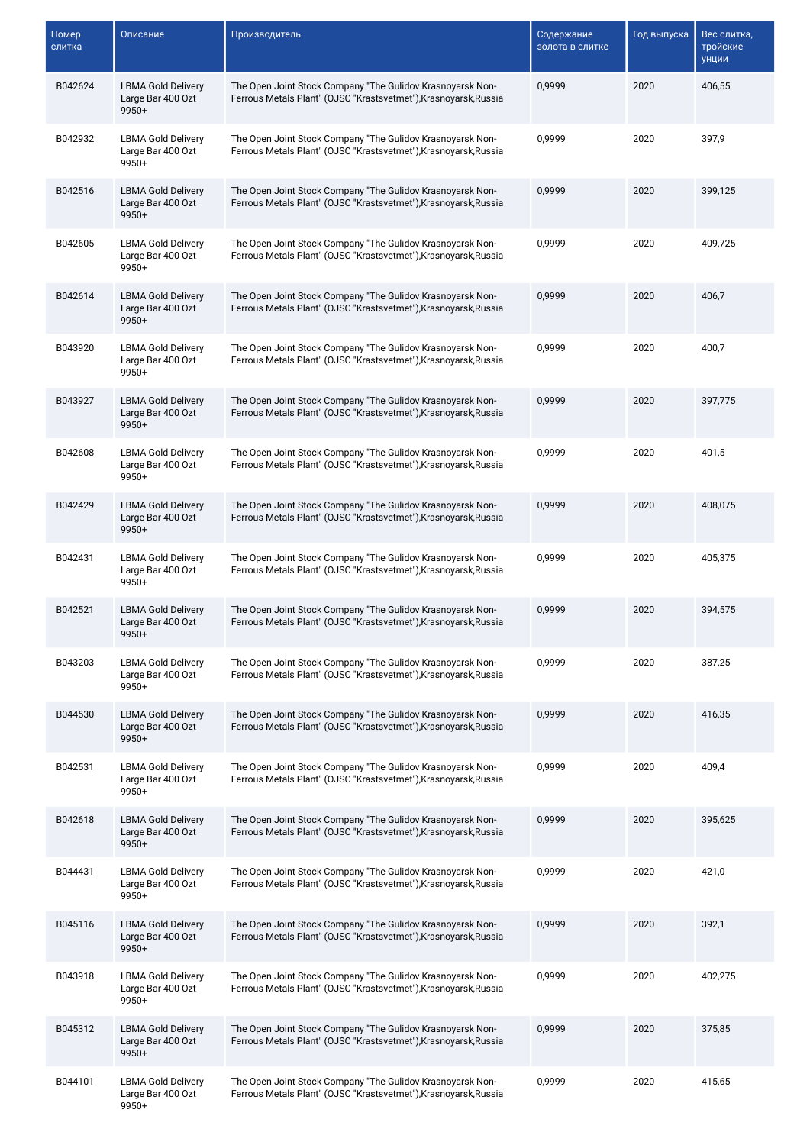| Номер<br>слитка | Описание                                                  | Производитель                                                                                                                  | Содержание<br>золота в слитке | Год выпуска | Вес слитка,<br>тройские<br>унции |
|-----------------|-----------------------------------------------------------|--------------------------------------------------------------------------------------------------------------------------------|-------------------------------|-------------|----------------------------------|
| B042624         | <b>LBMA Gold Delivery</b><br>Large Bar 400 Ozt<br>9950+   | The Open Joint Stock Company "The Gulidov Krasnoyarsk Non-<br>Ferrous Metals Plant" (OJSC "Krastsvetmet"), Krasnoyarsk, Russia | 0,9999                        | 2020        | 406,55                           |
| B042932         | <b>LBMA Gold Delivery</b><br>Large Bar 400 Ozt<br>9950+   | The Open Joint Stock Company "The Gulidov Krasnoyarsk Non-<br>Ferrous Metals Plant" (OJSC "Krastsvetmet"), Krasnoyarsk, Russia | 0,9999                        | 2020        | 397,9                            |
| B042516         | <b>LBMA Gold Delivery</b><br>Large Bar 400 Ozt<br>$9950+$ | The Open Joint Stock Company "The Gulidov Krasnoyarsk Non-<br>Ferrous Metals Plant" (OJSC "Krastsvetmet"), Krasnoyarsk, Russia | 0,9999                        | 2020        | 399,125                          |
| B042605         | <b>LBMA Gold Delivery</b><br>Large Bar 400 Ozt<br>9950+   | The Open Joint Stock Company "The Gulidov Krasnoyarsk Non-<br>Ferrous Metals Plant" (OJSC "Krastsvetmet"), Krasnoyarsk, Russia | 0,9999                        | 2020        | 409,725                          |
| B042614         | <b>LBMA Gold Delivery</b><br>Large Bar 400 Ozt<br>9950+   | The Open Joint Stock Company "The Gulidov Krasnoyarsk Non-<br>Ferrous Metals Plant" (OJSC "Krastsvetmet"), Krasnoyarsk, Russia | 0,9999                        | 2020        | 406,7                            |
| B043920         | <b>LBMA Gold Delivery</b><br>Large Bar 400 Ozt<br>9950+   | The Open Joint Stock Company "The Gulidov Krasnoyarsk Non-<br>Ferrous Metals Plant" (OJSC "Krastsvetmet"), Krasnoyarsk, Russia | 0,9999                        | 2020        | 400,7                            |
| B043927         | <b>LBMA Gold Delivery</b><br>Large Bar 400 Ozt<br>$9950+$ | The Open Joint Stock Company "The Gulidov Krasnoyarsk Non-<br>Ferrous Metals Plant" (OJSC "Krastsvetmet"), Krasnoyarsk, Russia | 0,9999                        | 2020        | 397.775                          |
| B042608         | <b>LBMA Gold Delivery</b><br>Large Bar 400 Ozt<br>9950+   | The Open Joint Stock Company "The Gulidov Krasnoyarsk Non-<br>Ferrous Metals Plant" (OJSC "Krastsvetmet"), Krasnoyarsk, Russia | 0,9999                        | 2020        | 401,5                            |
| B042429         | <b>LBMA Gold Delivery</b><br>Large Bar 400 Ozt<br>9950+   | The Open Joint Stock Company "The Gulidov Krasnoyarsk Non-<br>Ferrous Metals Plant" (OJSC "Krastsvetmet"), Krasnoyarsk, Russia | 0,9999                        | 2020        | 408,075                          |
| B042431         | <b>LBMA Gold Delivery</b><br>Large Bar 400 Ozt<br>$9950+$ | The Open Joint Stock Company "The Gulidov Krasnoyarsk Non-<br>Ferrous Metals Plant" (OJSC "Krastsvetmet"), Krasnoyarsk, Russia | 0,9999                        | 2020        | 405,375                          |
| B042521         | <b>LBMA Gold Delivery</b><br>Large Bar 400 Ozt<br>$9950+$ | The Open Joint Stock Company "The Gulidov Krasnoyarsk Non-<br>Ferrous Metals Plant" (OJSC "Krastsvetmet"), Krasnoyarsk, Russia | 0,9999                        | 2020        | 394,575                          |
| B043203         | <b>LBMA Gold Delivery</b><br>Large Bar 400 Ozt<br>9950+   | The Open Joint Stock Company "The Gulidov Krasnoyarsk Non-<br>Ferrous Metals Plant" (OJSC "Krastsvetmet"), Krasnoyarsk, Russia | 0,9999                        | 2020        | 387,25                           |
| B044530         | <b>LBMA Gold Delivery</b><br>Large Bar 400 Ozt<br>$9950+$ | The Open Joint Stock Company "The Gulidov Krasnoyarsk Non-<br>Ferrous Metals Plant" (OJSC "Krastsvetmet"), Krasnoyarsk, Russia | 0,9999                        | 2020        | 416,35                           |
| B042531         | <b>LBMA Gold Delivery</b><br>Large Bar 400 Ozt<br>9950+   | The Open Joint Stock Company "The Gulidov Krasnoyarsk Non-<br>Ferrous Metals Plant" (OJSC "Krastsvetmet"), Krasnoyarsk, Russia | 0,9999                        | 2020        | 409,4                            |
| B042618         | <b>LBMA Gold Delivery</b><br>Large Bar 400 Ozt<br>$9950+$ | The Open Joint Stock Company "The Gulidov Krasnoyarsk Non-<br>Ferrous Metals Plant" (OJSC "Krastsvetmet"), Krasnoyarsk, Russia | 0,9999                        | 2020        | 395,625                          |
| B044431         | <b>LBMA Gold Delivery</b><br>Large Bar 400 Ozt<br>9950+   | The Open Joint Stock Company "The Gulidov Krasnoyarsk Non-<br>Ferrous Metals Plant" (OJSC "Krastsvetmet"), Krasnoyarsk, Russia | 0,9999                        | 2020        | 421,0                            |
| B045116         | <b>LBMA Gold Delivery</b><br>Large Bar 400 Ozt<br>9950+   | The Open Joint Stock Company "The Gulidov Krasnoyarsk Non-<br>Ferrous Metals Plant" (OJSC "Krastsvetmet"), Krasnoyarsk, Russia | 0,9999                        | 2020        | 392,1                            |
| B043918         | <b>LBMA Gold Delivery</b><br>Large Bar 400 Ozt<br>9950+   | The Open Joint Stock Company "The Gulidov Krasnoyarsk Non-<br>Ferrous Metals Plant" (OJSC "Krastsvetmet"), Krasnoyarsk, Russia | 0,9999                        | 2020        | 402,275                          |
| B045312         | <b>LBMA Gold Delivery</b><br>Large Bar 400 Ozt<br>9950+   | The Open Joint Stock Company "The Gulidov Krasnoyarsk Non-<br>Ferrous Metals Plant" (OJSC "Krastsvetmet"), Krasnoyarsk, Russia | 0,9999                        | 2020        | 375,85                           |
| B044101         | <b>LBMA Gold Delivery</b><br>Large Bar 400 Ozt<br>9950+   | The Open Joint Stock Company "The Gulidov Krasnoyarsk Non-<br>Ferrous Metals Plant" (OJSC "Krastsvetmet"), Krasnoyarsk, Russia | 0,9999                        | 2020        | 415,65                           |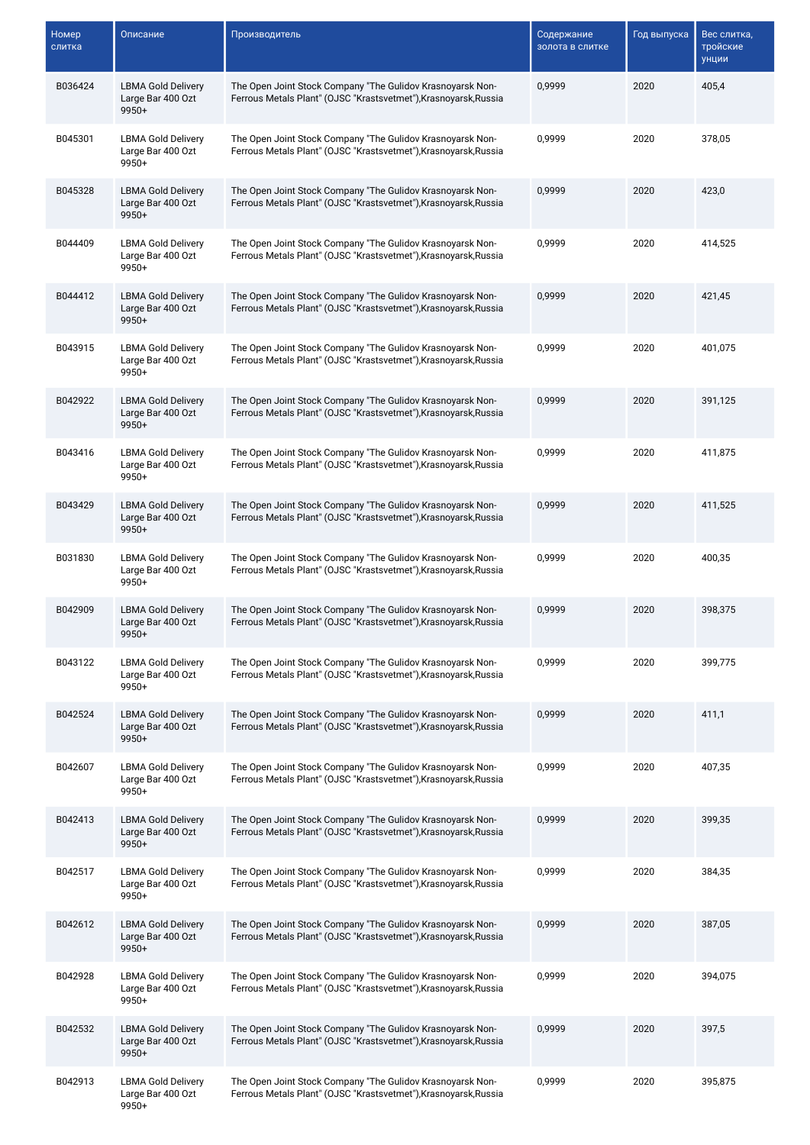| Номер<br>слитка | Описание                                                  | Производитель                                                                                                                  | Содержание<br>золота в слитке | Год выпуска | Вес слитка,<br>тройские<br>унции |
|-----------------|-----------------------------------------------------------|--------------------------------------------------------------------------------------------------------------------------------|-------------------------------|-------------|----------------------------------|
| B036424         | <b>LBMA Gold Delivery</b><br>Large Bar 400 Ozt<br>$9950+$ | The Open Joint Stock Company "The Gulidov Krasnoyarsk Non-<br>Ferrous Metals Plant" (OJSC "Krastsvetmet"), Krasnoyarsk, Russia | 0,9999                        | 2020        | 405,4                            |
| B045301         | <b>LBMA Gold Delivery</b><br>Large Bar 400 Ozt<br>9950+   | The Open Joint Stock Company "The Gulidov Krasnoyarsk Non-<br>Ferrous Metals Plant" (OJSC "Krastsvetmet"), Krasnoyarsk, Russia | 0,9999                        | 2020        | 378,05                           |
| B045328         | <b>LBMA Gold Delivery</b><br>Large Bar 400 Ozt<br>$9950+$ | The Open Joint Stock Company "The Gulidov Krasnoyarsk Non-<br>Ferrous Metals Plant" (OJSC "Krastsvetmet"), Krasnoyarsk, Russia | 0,9999                        | 2020        | 423,0                            |
| B044409         | <b>LBMA Gold Delivery</b><br>Large Bar 400 Ozt<br>9950+   | The Open Joint Stock Company "The Gulidov Krasnoyarsk Non-<br>Ferrous Metals Plant" (OJSC "Krastsvetmet"), Krasnoyarsk, Russia | 0,9999                        | 2020        | 414,525                          |
| B044412         | <b>LBMA Gold Delivery</b><br>Large Bar 400 Ozt<br>$9950+$ | The Open Joint Stock Company "The Gulidov Krasnoyarsk Non-<br>Ferrous Metals Plant" (OJSC "Krastsvetmet"), Krasnoyarsk, Russia | 0,9999                        | 2020        | 421,45                           |
| B043915         | <b>LBMA Gold Delivery</b><br>Large Bar 400 Ozt<br>$9950+$ | The Open Joint Stock Company "The Gulidov Krasnoyarsk Non-<br>Ferrous Metals Plant" (OJSC "Krastsvetmet"), Krasnoyarsk, Russia | 0,9999                        | 2020        | 401,075                          |
| B042922         | <b>LBMA Gold Delivery</b><br>Large Bar 400 Ozt<br>$9950+$ | The Open Joint Stock Company "The Gulidov Krasnoyarsk Non-<br>Ferrous Metals Plant" (OJSC "Krastsvetmet"), Krasnoyarsk, Russia | 0,9999                        | 2020        | 391,125                          |
| B043416         | <b>LBMA Gold Delivery</b><br>Large Bar 400 Ozt<br>9950+   | The Open Joint Stock Company "The Gulidov Krasnoyarsk Non-<br>Ferrous Metals Plant" (OJSC "Krastsvetmet"), Krasnoyarsk, Russia | 0,9999                        | 2020        | 411,875                          |
| B043429         | <b>LBMA Gold Delivery</b><br>Large Bar 400 Ozt<br>9950+   | The Open Joint Stock Company "The Gulidov Krasnoyarsk Non-<br>Ferrous Metals Plant" (OJSC "Krastsvetmet"), Krasnoyarsk, Russia | 0,9999                        | 2020        | 411,525                          |
| B031830         | <b>LBMA Gold Delivery</b><br>Large Bar 400 Ozt<br>$9950+$ | The Open Joint Stock Company "The Gulidov Krasnoyarsk Non-<br>Ferrous Metals Plant" (OJSC "Krastsvetmet"), Krasnoyarsk, Russia | 0,9999                        | 2020        | 400,35                           |
| B042909         | <b>LBMA Gold Delivery</b><br>Large Bar 400 Ozt<br>$9950+$ | The Open Joint Stock Company "The Gulidov Krasnoyarsk Non-<br>Ferrous Metals Plant" (OJSC "Krastsvetmet"), Krasnoyarsk, Russia | 0,9999                        | 2020        | 398,375                          |
| B043122         | <b>LBMA Gold Delivery</b><br>Large Bar 400 Ozt<br>9950+   | The Open Joint Stock Company "The Gulidov Krasnoyarsk Non-<br>Ferrous Metals Plant" (OJSC "Krastsvetmet"), Krasnoyarsk, Russia | 0,9999                        | 2020        | 399,775                          |
| B042524         | <b>LBMA Gold Delivery</b><br>Large Bar 400 Ozt<br>$9950+$ | The Open Joint Stock Company "The Gulidov Krasnoyarsk Non-<br>Ferrous Metals Plant" (OJSC "Krastsvetmet"), Krasnoyarsk, Russia | 0,9999                        | 2020        | 411,1                            |
| B042607         | <b>LBMA Gold Delivery</b><br>Large Bar 400 Ozt<br>9950+   | The Open Joint Stock Company "The Gulidov Krasnoyarsk Non-<br>Ferrous Metals Plant" (OJSC "Krastsvetmet"), Krasnoyarsk, Russia | 0,9999                        | 2020        | 407,35                           |
| B042413         | <b>LBMA Gold Delivery</b><br>Large Bar 400 Ozt<br>$9950+$ | The Open Joint Stock Company "The Gulidov Krasnoyarsk Non-<br>Ferrous Metals Plant" (OJSC "Krastsvetmet"), Krasnoyarsk, Russia | 0,9999                        | 2020        | 399,35                           |
| B042517         | <b>LBMA Gold Delivery</b><br>Large Bar 400 Ozt<br>9950+   | The Open Joint Stock Company "The Gulidov Krasnoyarsk Non-<br>Ferrous Metals Plant" (OJSC "Krastsvetmet"), Krasnoyarsk, Russia | 0,9999                        | 2020        | 384,35                           |
| B042612         | <b>LBMA Gold Delivery</b><br>Large Bar 400 Ozt<br>9950+   | The Open Joint Stock Company "The Gulidov Krasnoyarsk Non-<br>Ferrous Metals Plant" (OJSC "Krastsvetmet"), Krasnoyarsk, Russia | 0,9999                        | 2020        | 387,05                           |
| B042928         | <b>LBMA Gold Delivery</b><br>Large Bar 400 Ozt<br>$9950+$ | The Open Joint Stock Company "The Gulidov Krasnoyarsk Non-<br>Ferrous Metals Plant" (OJSC "Krastsvetmet"), Krasnoyarsk, Russia | 0,9999                        | 2020        | 394,075                          |
| B042532         | <b>LBMA Gold Delivery</b><br>Large Bar 400 Ozt<br>9950+   | The Open Joint Stock Company "The Gulidov Krasnoyarsk Non-<br>Ferrous Metals Plant" (OJSC "Krastsvetmet"), Krasnoyarsk, Russia | 0,9999                        | 2020        | 397,5                            |
| B042913         | <b>LBMA Gold Delivery</b><br>Large Bar 400 Ozt<br>9950+   | The Open Joint Stock Company "The Gulidov Krasnoyarsk Non-<br>Ferrous Metals Plant" (OJSC "Krastsvetmet"), Krasnoyarsk, Russia | 0,9999                        | 2020        | 395,875                          |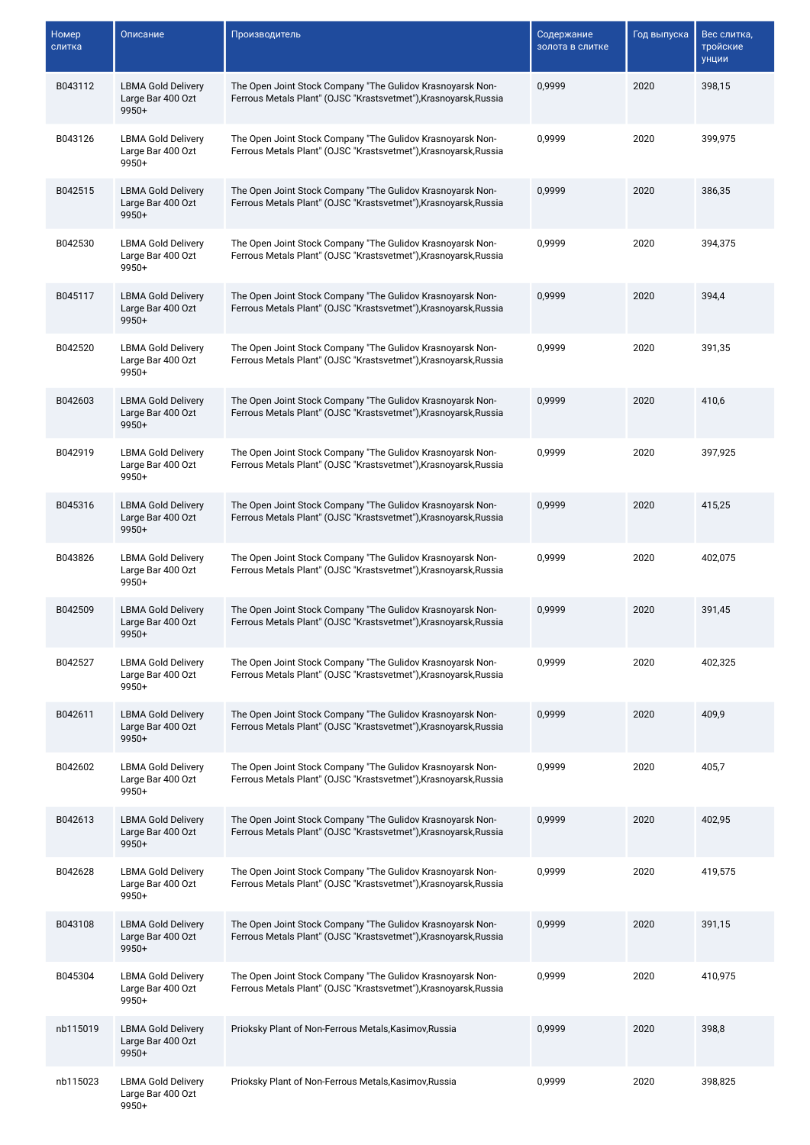| Номер<br>слитка | Описание                                                  | Производитель                                                                                                                  | Содержание<br>золота в слитке | Год выпуска | Вес слитка,<br>тройские<br>унции |
|-----------------|-----------------------------------------------------------|--------------------------------------------------------------------------------------------------------------------------------|-------------------------------|-------------|----------------------------------|
| B043112         | <b>LBMA Gold Delivery</b><br>Large Bar 400 Ozt<br>9950+   | The Open Joint Stock Company "The Gulidov Krasnoyarsk Non-<br>Ferrous Metals Plant" (OJSC "Krastsvetmet"), Krasnoyarsk, Russia | 0,9999                        | 2020        | 398,15                           |
| B043126         | <b>LBMA Gold Delivery</b><br>Large Bar 400 Ozt<br>9950+   | The Open Joint Stock Company "The Gulidov Krasnoyarsk Non-<br>Ferrous Metals Plant" (OJSC "Krastsvetmet"), Krasnoyarsk, Russia | 0,9999                        | 2020        | 399,975                          |
| B042515         | <b>LBMA Gold Delivery</b><br>Large Bar 400 Ozt<br>$9950+$ | The Open Joint Stock Company "The Gulidov Krasnoyarsk Non-<br>Ferrous Metals Plant" (OJSC "Krastsvetmet"), Krasnoyarsk, Russia | 0,9999                        | 2020        | 386,35                           |
| B042530         | <b>LBMA Gold Delivery</b><br>Large Bar 400 Ozt<br>9950+   | The Open Joint Stock Company "The Gulidov Krasnoyarsk Non-<br>Ferrous Metals Plant" (OJSC "Krastsvetmet"), Krasnoyarsk, Russia | 0,9999                        | 2020        | 394,375                          |
| B045117         | <b>LBMA Gold Delivery</b><br>Large Bar 400 Ozt<br>9950+   | The Open Joint Stock Company "The Gulidov Krasnoyarsk Non-<br>Ferrous Metals Plant" (OJSC "Krastsvetmet"), Krasnoyarsk, Russia | 0,9999                        | 2020        | 394,4                            |
| B042520         | <b>LBMA Gold Delivery</b><br>Large Bar 400 Ozt<br>9950+   | The Open Joint Stock Company "The Gulidov Krasnoyarsk Non-<br>Ferrous Metals Plant" (OJSC "Krastsvetmet"), Krasnoyarsk, Russia | 0,9999                        | 2020        | 391,35                           |
| B042603         | <b>LBMA Gold Delivery</b><br>Large Bar 400 Ozt<br>$9950+$ | The Open Joint Stock Company "The Gulidov Krasnoyarsk Non-<br>Ferrous Metals Plant" (OJSC "Krastsvetmet"), Krasnoyarsk, Russia | 0,9999                        | 2020        | 410,6                            |
| B042919         | <b>LBMA Gold Delivery</b><br>Large Bar 400 Ozt<br>9950+   | The Open Joint Stock Company "The Gulidov Krasnoyarsk Non-<br>Ferrous Metals Plant" (OJSC "Krastsvetmet"), Krasnoyarsk, Russia | 0,9999                        | 2020        | 397,925                          |
| B045316         | <b>LBMA Gold Delivery</b><br>Large Bar 400 Ozt<br>9950+   | The Open Joint Stock Company "The Gulidov Krasnoyarsk Non-<br>Ferrous Metals Plant" (OJSC "Krastsvetmet"), Krasnoyarsk, Russia | 0,9999                        | 2020        | 415,25                           |
| B043826         | <b>LBMA Gold Delivery</b><br>Large Bar 400 Ozt<br>$9950+$ | The Open Joint Stock Company "The Gulidov Krasnoyarsk Non-<br>Ferrous Metals Plant" (OJSC "Krastsvetmet"), Krasnoyarsk, Russia | 0,9999                        | 2020        | 402,075                          |
| B042509         | <b>LBMA Gold Delivery</b><br>Large Bar 400 Ozt<br>$9950+$ | The Open Joint Stock Company "The Gulidov Krasnoyarsk Non-<br>Ferrous Metals Plant" (OJSC "Krastsvetmet"), Krasnoyarsk, Russia | 0,9999                        | 2020        | 391,45                           |
| B042527         | <b>LBMA Gold Delivery</b><br>Large Bar 400 Ozt<br>9950+   | The Open Joint Stock Company "The Gulidov Krasnoyarsk Non-<br>Ferrous Metals Plant" (OJSC "Krastsvetmet"), Krasnoyarsk, Russia | 0,9999                        | 2020        | 402,325                          |
| B042611         | <b>LBMA Gold Delivery</b><br>Large Bar 400 Ozt<br>$9950+$ | The Open Joint Stock Company "The Gulidov Krasnoyarsk Non-<br>Ferrous Metals Plant" (OJSC "Krastsvetmet"), Krasnoyarsk, Russia | 0,9999                        | 2020        | 409,9                            |
| B042602         | <b>LBMA Gold Delivery</b><br>Large Bar 400 Ozt<br>9950+   | The Open Joint Stock Company "The Gulidov Krasnoyarsk Non-<br>Ferrous Metals Plant" (OJSC "Krastsvetmet"), Krasnoyarsk, Russia | 0,9999                        | 2020        | 405,7                            |
| B042613         | <b>LBMA Gold Delivery</b><br>Large Bar 400 Ozt<br>$9950+$ | The Open Joint Stock Company "The Gulidov Krasnoyarsk Non-<br>Ferrous Metals Plant" (OJSC "Krastsvetmet"), Krasnoyarsk, Russia | 0,9999                        | 2020        | 402,95                           |
| B042628         | <b>LBMA Gold Delivery</b><br>Large Bar 400 Ozt<br>9950+   | The Open Joint Stock Company "The Gulidov Krasnoyarsk Non-<br>Ferrous Metals Plant" (OJSC "Krastsvetmet"), Krasnoyarsk, Russia | 0,9999                        | 2020        | 419,575                          |
| B043108         | <b>LBMA Gold Delivery</b><br>Large Bar 400 Ozt<br>9950+   | The Open Joint Stock Company "The Gulidov Krasnoyarsk Non-<br>Ferrous Metals Plant" (OJSC "Krastsvetmet"), Krasnoyarsk, Russia | 0,9999                        | 2020        | 391,15                           |
| B045304         | <b>LBMA Gold Delivery</b><br>Large Bar 400 Ozt<br>9950+   | The Open Joint Stock Company "The Gulidov Krasnoyarsk Non-<br>Ferrous Metals Plant" (OJSC "Krastsvetmet"), Krasnoyarsk, Russia | 0,9999                        | 2020        | 410,975                          |
| nb115019        | <b>LBMA Gold Delivery</b><br>Large Bar 400 Ozt<br>9950+   | Prioksky Plant of Non-Ferrous Metals, Kasimov, Russia                                                                          | 0,9999                        | 2020        | 398,8                            |
| nb115023        | <b>LBMA Gold Delivery</b><br>Large Bar 400 Ozt<br>9950+   | Prioksky Plant of Non-Ferrous Metals, Kasimov, Russia                                                                          | 0,9999                        | 2020        | 398,825                          |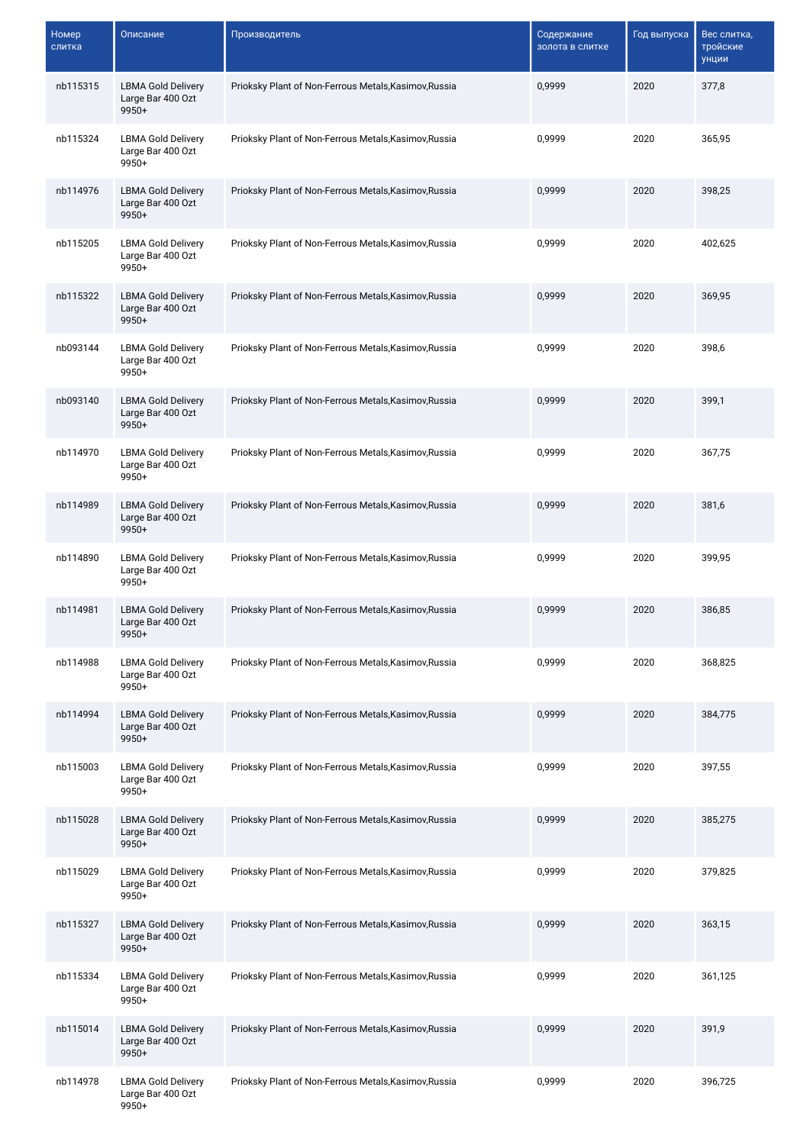| <b>Номер</b><br>слитка | Описание                                                  | Производитель                                         | Содержание<br>золота в слитке | Год выпуска | Вес слитка,<br>тройские<br>унции |
|------------------------|-----------------------------------------------------------|-------------------------------------------------------|-------------------------------|-------------|----------------------------------|
| nb115315               | <b>LBMA Gold Delivery</b><br>Large Bar 400 Ozt<br>9950+   | Prioksky Plant of Non-Ferrous Metals, Kasimov, Russia | 0,9999                        | 2020        | 377,8                            |
| nb115324               | <b>LBMA Gold Delivery</b><br>Large Bar 400 Ozt<br>9950+   | Prioksky Plant of Non-Ferrous Metals, Kasimov, Russia | 0,9999                        | 2020        | 365,95                           |
| nb114976               | <b>LBMA Gold Delivery</b><br>Large Bar 400 Ozt<br>9950+   | Prioksky Plant of Non-Ferrous Metals, Kasimov, Russia | 0,9999                        | 2020        | 398,25                           |
| nb115205               | <b>LBMA Gold Delivery</b><br>Large Bar 400 Ozt<br>$9950+$ | Prioksky Plant of Non-Ferrous Metals, Kasimov, Russia | 0,9999                        | 2020        | 402,625                          |
| nb115322               | <b>LBMA Gold Delivery</b><br>Large Bar 400 Ozt<br>$9950+$ | Prioksky Plant of Non-Ferrous Metals, Kasimov, Russia | 0,9999                        | 2020        | 369,95                           |
| nb093144               | <b>LBMA Gold Delivery</b><br>Large Bar 400 Ozt<br>9950+   | Prioksky Plant of Non-Ferrous Metals, Kasimov, Russia | 0.9999                        | 2020        | 398,6                            |
| nb093140               | <b>LBMA Gold Delivery</b><br>Large Bar 400 Ozt<br>9950+   | Prioksky Plant of Non-Ferrous Metals, Kasimov, Russia | 0,9999                        | 2020        | 399,1                            |
| nb114970               | <b>LBMA Gold Delivery</b><br>Large Bar 400 Ozt<br>9950+   | Prioksky Plant of Non-Ferrous Metals, Kasimov, Russia | 0,9999                        | 2020        | 367,75                           |
| nb114989               | <b>LBMA Gold Delivery</b><br>Large Bar 400 Ozt<br>9950+   | Prioksky Plant of Non-Ferrous Metals, Kasimov, Russia | 0,9999                        | 2020        | 381,6                            |
| nb114890               | <b>LBMA Gold Delivery</b><br>Large Bar 400 Ozt<br>9950+   | Prioksky Plant of Non-Ferrous Metals, Kasimov, Russia | 0,9999                        | 2020        | 399,95                           |
| nb114981               | <b>LBMA Gold Delivery</b><br>Large Bar 400 Ozt<br>$9950+$ | Prioksky Plant of Non-Ferrous Metals, Kasimov, Russia | 0,9999                        | 2020        | 386,85                           |
| nb114988               | <b>LBMA Gold Delivery</b><br>Large Bar 400 Ozt<br>$9950+$ | Prioksky Plant of Non-Ferrous Metals, Kasimov, Russia | 0,9999                        | 2020        | 368,825                          |
| nb114994               | <b>LBMA Gold Delivery</b><br>Large Bar 400 Ozt<br>9950+   | Prioksky Plant of Non-Ferrous Metals, Kasimov, Russia | 0,9999                        | 2020        | 384,775                          |
| nb115003               | <b>LBMA Gold Delivery</b><br>Large Bar 400 Ozt<br>$9950+$ | Prioksky Plant of Non-Ferrous Metals, Kasimov, Russia | 0,9999                        | 2020        | 397,55                           |
| nb115028               | <b>LBMA Gold Delivery</b><br>Large Bar 400 Ozt<br>9950+   | Prioksky Plant of Non-Ferrous Metals, Kasimov, Russia | 0,9999                        | 2020        | 385,275                          |
| nb115029               | <b>LBMA Gold Delivery</b><br>Large Bar 400 Ozt<br>9950+   | Prioksky Plant of Non-Ferrous Metals, Kasimov, Russia | 0,9999                        | 2020        | 379,825                          |
| nb115327               | <b>LBMA Gold Delivery</b><br>Large Bar 400 Ozt<br>$9950+$ | Prioksky Plant of Non-Ferrous Metals, Kasimov, Russia | 0,9999                        | 2020        | 363,15                           |
| nb115334               | <b>LBMA Gold Delivery</b><br>Large Bar 400 Ozt<br>9950+   | Prioksky Plant of Non-Ferrous Metals, Kasimov, Russia | 0,9999                        | 2020        | 361,125                          |
| nb115014               | <b>LBMA Gold Delivery</b><br>Large Bar 400 Ozt<br>9950+   | Prioksky Plant of Non-Ferrous Metals, Kasimov, Russia | 0,9999                        | 2020        | 391,9                            |
| nb114978               | <b>LBMA Gold Delivery</b><br>Large Bar 400 Ozt<br>9950+   | Prioksky Plant of Non-Ferrous Metals, Kasimov, Russia | 0,9999                        | 2020        | 396,725                          |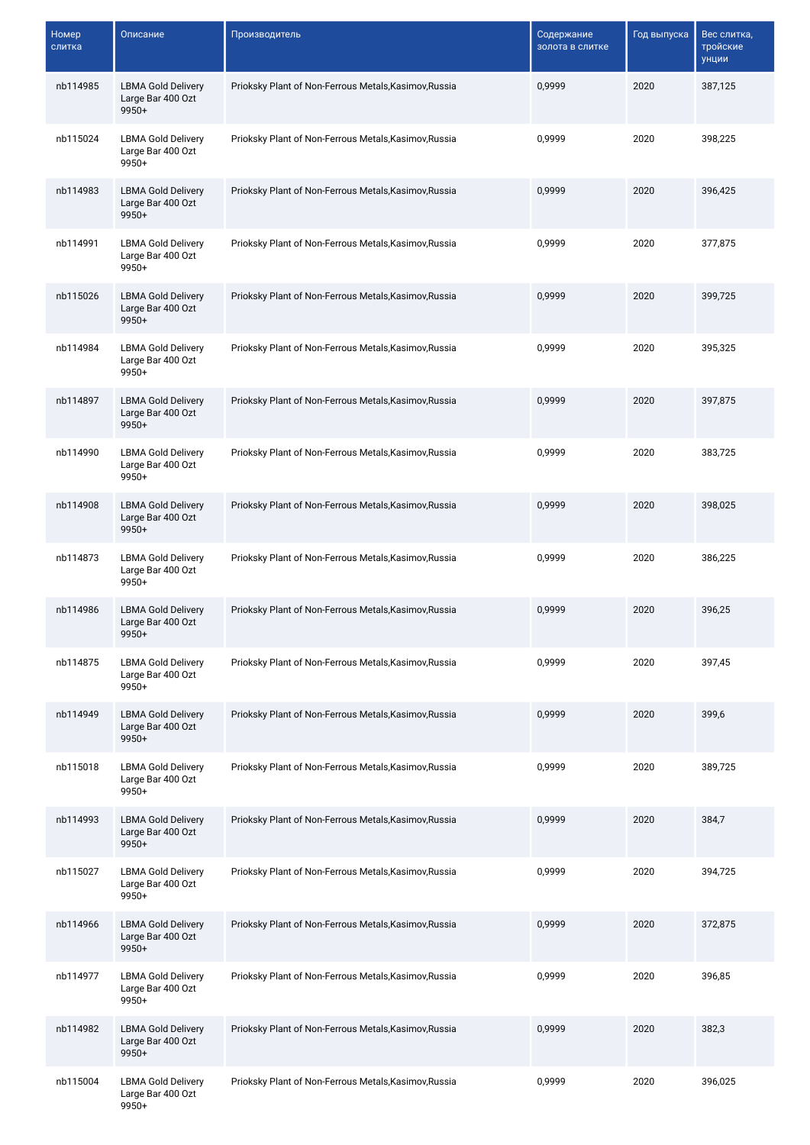| <b>Номер</b><br>слитка | Описание                                                  | Производитель                                         | Содержание<br>золота в слитке | Год выпуска | Вес слитка,<br>тройские<br>унции |
|------------------------|-----------------------------------------------------------|-------------------------------------------------------|-------------------------------|-------------|----------------------------------|
| nb114985               | <b>LBMA Gold Delivery</b><br>Large Bar 400 Ozt<br>9950+   | Prioksky Plant of Non-Ferrous Metals, Kasimov, Russia | 0,9999                        | 2020        | 387,125                          |
| nb115024               | <b>LBMA Gold Delivery</b><br>Large Bar 400 Ozt<br>9950+   | Prioksky Plant of Non-Ferrous Metals, Kasimov, Russia | 0,9999                        | 2020        | 398,225                          |
| nb114983               | <b>LBMA Gold Delivery</b><br>Large Bar 400 Ozt<br>9950+   | Prioksky Plant of Non-Ferrous Metals, Kasimov, Russia | 0,9999                        | 2020        | 396,425                          |
| nb114991               | <b>LBMA Gold Delivery</b><br>Large Bar 400 Ozt<br>9950+   | Prioksky Plant of Non-Ferrous Metals, Kasimov, Russia | 0,9999                        | 2020        | 377,875                          |
| nb115026               | <b>LBMA Gold Delivery</b><br>Large Bar 400 Ozt<br>$9950+$ | Prioksky Plant of Non-Ferrous Metals, Kasimov, Russia | 0,9999                        | 2020        | 399,725                          |
| nb114984               | <b>LBMA Gold Delivery</b><br>Large Bar 400 Ozt<br>$9950+$ | Prioksky Plant of Non-Ferrous Metals, Kasimov, Russia | 0,9999                        | 2020        | 395,325                          |
| nb114897               | <b>LBMA Gold Delivery</b><br>Large Bar 400 Ozt<br>9950+   | Prioksky Plant of Non-Ferrous Metals, Kasimov, Russia | 0,9999                        | 2020        | 397,875                          |
| nb114990               | <b>LBMA Gold Delivery</b><br>Large Bar 400 Ozt<br>9950+   | Prioksky Plant of Non-Ferrous Metals, Kasimov, Russia | 0,9999                        | 2020        | 383,725                          |
| nb114908               | <b>LBMA Gold Delivery</b><br>Large Bar 400 Ozt<br>9950+   | Prioksky Plant of Non-Ferrous Metals, Kasimov, Russia | 0,9999                        | 2020        | 398,025                          |
| nb114873               | <b>LBMA Gold Delivery</b><br>Large Bar 400 Ozt<br>9950+   | Prioksky Plant of Non-Ferrous Metals, Kasimov, Russia | 0,9999                        | 2020        | 386,225                          |
| nb114986               | <b>LBMA Gold Delivery</b><br>Large Bar 400 Ozt<br>9950+   | Prioksky Plant of Non-Ferrous Metals, Kasimov, Russia | 0,9999                        | 2020        | 396,25                           |
| nb114875               | <b>LBMA Gold Delivery</b><br>Large Bar 400 Ozt<br>$9950+$ | Prioksky Plant of Non-Ferrous Metals, Kasimov, Russia | 0,9999                        | 2020        | 397,45                           |
| nb114949               | <b>LBMA Gold Delivery</b><br>Large Bar 400 Ozt<br>9950+   | Prioksky Plant of Non-Ferrous Metals, Kasimov, Russia | 0,9999                        | 2020        | 399,6                            |
| nb115018               | <b>LBMA Gold Delivery</b><br>Large Bar 400 Ozt<br>9950+   | Prioksky Plant of Non-Ferrous Metals, Kasimov, Russia | 0,9999                        | 2020        | 389,725                          |
| nb114993               | <b>LBMA Gold Delivery</b><br>Large Bar 400 Ozt<br>9950+   | Prioksky Plant of Non-Ferrous Metals, Kasimov, Russia | 0,9999                        | 2020        | 384,7                            |
| nb115027               | <b>LBMA Gold Delivery</b><br>Large Bar 400 Ozt<br>9950+   | Prioksky Plant of Non-Ferrous Metals, Kasimov, Russia | 0,9999                        | 2020        | 394,725                          |
| nb114966               | <b>LBMA Gold Delivery</b><br>Large Bar 400 Ozt<br>$9950+$ | Prioksky Plant of Non-Ferrous Metals, Kasimov, Russia | 0,9999                        | 2020        | 372,875                          |
| nb114977               | <b>LBMA Gold Delivery</b><br>Large Bar 400 Ozt<br>9950+   | Prioksky Plant of Non-Ferrous Metals, Kasimov, Russia | 0,9999                        | 2020        | 396,85                           |
| nb114982               | <b>LBMA Gold Delivery</b><br>Large Bar 400 Ozt<br>9950+   | Prioksky Plant of Non-Ferrous Metals, Kasimov, Russia | 0,9999                        | 2020        | 382,3                            |
| nb115004               | <b>LBMA Gold Delivery</b><br>Large Bar 400 Ozt<br>9950+   | Prioksky Plant of Non-Ferrous Metals, Kasimov, Russia | 0,9999                        | 2020        | 396,025                          |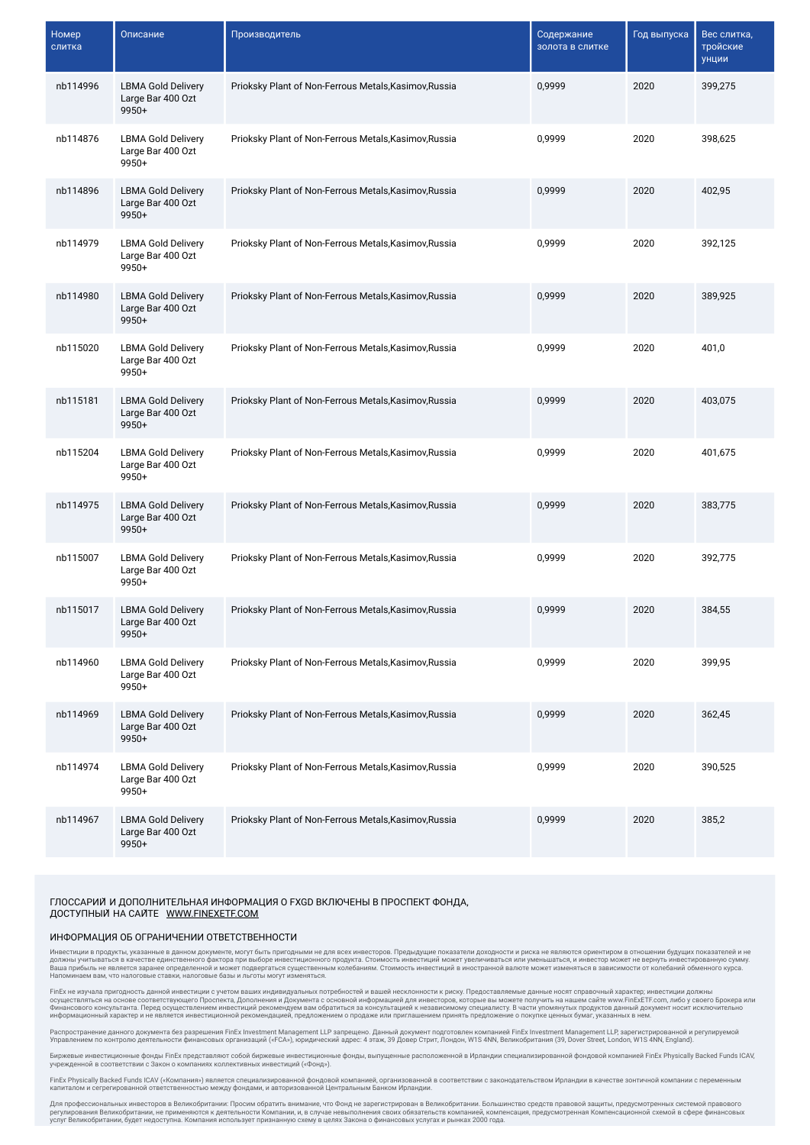| Номер<br>слитка | Описание                                                  | Производитель                                         | Содержание<br>золота в слитке | Год выпуска | Вес слитка,<br>тройские<br>унции |
|-----------------|-----------------------------------------------------------|-------------------------------------------------------|-------------------------------|-------------|----------------------------------|
| nb114996        | <b>LBMA Gold Delivery</b><br>Large Bar 400 Ozt<br>9950+   | Prioksky Plant of Non-Ferrous Metals, Kasimov, Russia | 0,9999                        | 2020        | 399,275                          |
| nb114876        | <b>LBMA Gold Delivery</b><br>Large Bar 400 Ozt<br>9950+   | Prioksky Plant of Non-Ferrous Metals, Kasimov, Russia | 0,9999                        | 2020        | 398,625                          |
| nb114896        | <b>LBMA Gold Delivery</b><br>Large Bar 400 Ozt<br>$9950+$ | Prioksky Plant of Non-Ferrous Metals, Kasimov, Russia | 0,9999                        | 2020        | 402,95                           |
| nb114979        | <b>LBMA Gold Delivery</b><br>Large Bar 400 Ozt<br>$9950+$ | Prioksky Plant of Non-Ferrous Metals, Kasimov, Russia | 0,9999                        | 2020        | 392,125                          |
| nb114980        | <b>LBMA Gold Delivery</b><br>Large Bar 400 Ozt<br>9950+   | Prioksky Plant of Non-Ferrous Metals, Kasimov, Russia | 0,9999                        | 2020        | 389,925                          |
| nb115020        | <b>LBMA Gold Delivery</b><br>Large Bar 400 Ozt<br>9950+   | Prioksky Plant of Non-Ferrous Metals, Kasimov, Russia | 0,9999                        | 2020        | 401,0                            |
| nb115181        | <b>LBMA Gold Delivery</b><br>Large Bar 400 Ozt<br>9950+   | Prioksky Plant of Non-Ferrous Metals, Kasimov, Russia | 0.9999                        | 2020        | 403,075                          |
| nb115204        | <b>LBMA Gold Delivery</b><br>Large Bar 400 Ozt<br>$9950+$ | Prioksky Plant of Non-Ferrous Metals, Kasimov, Russia | 0,9999                        | 2020        | 401,675                          |
| nb114975        | <b>LBMA Gold Delivery</b><br>Large Bar 400 Ozt<br>$9950+$ | Prioksky Plant of Non-Ferrous Metals, Kasimov, Russia | 0,9999                        | 2020        | 383,775                          |
| nb115007        | <b>LBMA Gold Delivery</b><br>Large Bar 400 Ozt<br>$9950+$ | Prioksky Plant of Non-Ferrous Metals, Kasimov, Russia | 0,9999                        | 2020        | 392,775                          |
| nb115017        | <b>LBMA Gold Delivery</b><br>Large Bar 400 Ozt<br>$9950+$ | Prioksky Plant of Non-Ferrous Metals, Kasimov, Russia | 0,9999                        | 2020        | 384,55                           |
| nb114960        | <b>LBMA Gold Delivery</b><br>Large Bar 400 Ozt<br>$9950+$ | Prioksky Plant of Non-Ferrous Metals, Kasimov, Russia | 0,9999                        | 2020        | 399,95                           |
| nb114969        | <b>LBMA Gold Delivery</b><br>Large Bar 400 Ozt<br>9950+   | Prioksky Plant of Non-Ferrous Metals, Kasimov, Russia | 0,9999                        | 2020        | 362,45                           |
| nb114974        | <b>LBMA Gold Delivery</b><br>Large Bar 400 Ozt<br>9950+   | Prioksky Plant of Non-Ferrous Metals, Kasimov, Russia | 0.9999                        | 2020        | 390,525                          |
| nb114967        | <b>LBMA Gold Delivery</b><br>Large Bar 400 Ozt<br>9950+   | Prioksky Plant of Non-Ferrous Metals, Kasimov, Russia | 0,9999                        | 2020        | 385,2                            |

## ГЛОССАРИЙ И ДОПОЛНИТЕЛЬНАЯ ИНФОРМАЦИЯ О FXGD ВКЛЮЧЕНЫ В ПРОСПЕКТ ФОНДА ДОСТУПНЫЙ НА САЙТЕ [WWW.FINEXETF.COM](http://www.finexetf.com/)

## ИНФОРМАЦИЯ ОБ ОГРАНИЧЕНИИ ОТВЕТСТВЕННОСТИ

Инвестиции в продукты, указанные в данном документе, могут быть пригодными не для всех инвесторов. Предыдущие показатели докодноги и рюска не являются ориентиром в отношении будущих показателей и не<br>должны учитываться зар

FinEx не изучала пригодность данной инвестиции с учетом ваших индивидуальных потребностей и вашей несклонности к риску. Предоставляемые данные носят справочный характер; инвестиции должны<br>Финансового кна основе соответств

Распространение данного документа без разрешения FinEx Investment Management LLP запрещено. Данный документ подготовлен компанией FinEx Investment Management LLP, зарегистрированной и регулируемой<br>Управлением по контролю

Биржевые инвестиционные фонды FinEx представляют собой биржевые инвестиционные фонды, выпущенные расположенной в Ирландии специализированной фондовой компанией FinEx Physically Backed Funds ICAV<br>учрежденной в соответствии

FinEx Physically Backed Funds ICAV («Компания») является специализмрованной фондовой фомпанией, организованной в соответствии с законодательством Ирландии в качестве зонтичной компании с переменным<br>капиталом и сегрегирова

Для профессиональных инвесторов в Великобритании: Просим обратить внимание, что Фонд не зарегистрирован в Великобритании. Большинство средств правовой защиты, предусмотренных системой правового регулирования Великобритании, не применяются к деятельности Компании, и, в случае невыполнения своих обязательств компанией, компенсация, предусмотренная Компенсационной схемой в сфере финансовых услуг Великобритании, будет недоступна. Компания использует признанную схему в целях Закона о финансовых услугах и рынках 2000 года.